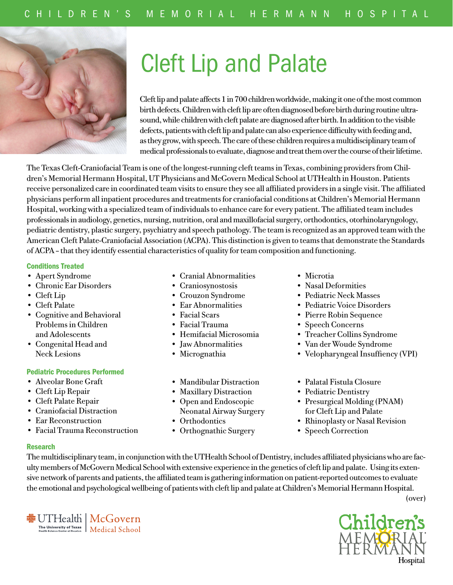

# Cleft Lip and Palate

Cleft lip and palate affects 1 in 700 children worldwide, making it one of the most common birth defects. Children with cleft lip are often diagnosed before birth during routine ultrasound, while children with cleft palate are diagnosed after birth. In addition to the visible defects, patients with cleft lip and palate can also experience difficulty with feeding and, as they grow, with speech. The care of these children requires a multidisciplinary team of medical professionals to evaluate, diagnose and treat them over the course of their lifetime.

The Texas Cleft-Craniofacial Team is one of the longest-running cleft teams in Texas, combining providers from Children's Memorial Hermann Hospital, UT Physicians and McGovern Medical School at UTHealth in Houston. Patients receive personalized care in coordinated team visits to ensure they see all affiliated providers in a single visit. The affiliated physicians perform all inpatient procedures and treatments for craniofacial conditions at Children's Memorial Hermann Hospital, working with a specialized team of individuals to enhance care for every patient. The affiliated team includes professionals in audiology, genetics, nursing, nutrition, oral and maxillofacial surgery, orthodontics, otorhinolaryngology, pediatric dentistry, plastic surgery, psychiatry and speech pathology. The team is recognized as an approved team with the American Cleft Palate-Craniofacial Association (ACPA). This distinction is given to teams that demonstrate the Standards of ACPA – that they identify essential characteristics of quality for team composition and functioning.

## Conditions Treated

- Apert Syndrome
- Chronic Ear Disorders
- Cleft Lip
- Cleft Palate
- Cognitive and Behavioral Problems in Children and Adolescents
- Congenital Head and Neck Lesions

# Pediatric Procedures Performed

- Alveolar Bone Graft
- Cleft Lip Repair
- Cleft Palate Repair
- Craniofacial Distraction
- Ear Reconstruction
- Facial Trauma Reconstruction

**非UTHealth | McGovern** 

The University of Texas<br>
Health Science Center at Houston<br>
Medical School

- Cranial Abnormalities
- Craniosynostosis
- Crouzon Syndrome
- Ear Abnormalities
- Facial Scars
- Facial Trauma
- Hemifacial Microsomia
- Jaw Abnormalities
- Micrognathia
- Mandibular Distraction
- Maxillary Distraction
- Open and Endoscopic Neonatal Airway Surgery
- Orthodontics
- Orthognathic Surgery
- Microtia
- Nasal Deformities
- Pediatric Neck Masses
- Pediatric Voice Disorders
- Pierre Robin Sequence
- Speech Concerns
- Treacher Collins Syndrome
- Van der Woude Syndrome
- Velopharyngeal Insuffiency (VPI)
- Palatal Fistula Closure
- Pediatric Dentistry
- Presurgical Molding (PNAM) for Cleft Lip and Palate
- Rhinoplasty or Nasal Revision
- Speech Correction

# Research

The multidisciplinary team, in conjunction with the UTHealth School of Dentistry, includes affiliated physicians who are faculty members of McGovern Medical School with extensive experience in the genetics of cleft lip and palate. Using its extensive network of parents and patients, the affiliated team is gathering information on patient-reported outcomes to evaluate the emotional and psychological wellbeing of patients with cleft lip and palate at Children's Memorial Hermann Hospital.

(over)